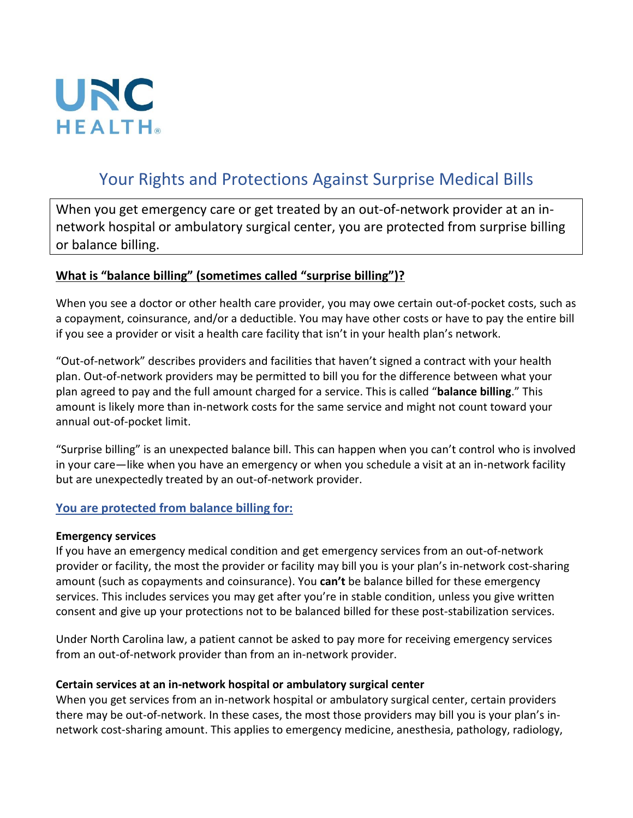

# Your Rights and Protections Against Surprise Medical Bills

When you get emergency care or get treated by an out-of-network provider at an innetwork hospital or ambulatory surgical center, you are protected from surprise billing or balance billing.

### **What is "balance billing" (sometimes called "surprise billing")?**

When you see a doctor or other health care provider, you may owe certain out-of-pocket costs, such as a copayment, coinsurance, and/or a deductible. You may have other costs or have to pay the entire bill if you see a provider or visit a health care facility that isn't in your health plan's network.

"Out-of-network" describes providers and facilities that haven't signed a contract with your health plan. Out-of-network providers may be permitted to bill you for the difference between what your plan agreed to pay and the full amount charged for a service. This is called "**balance billing**." This amount is likely more than in-network costs for the same service and might not count toward your annual out-of-pocket limit.

"Surprise billing" is an unexpected balance bill. This can happen when you can't control who is involved in your care—like when you have an emergency or when you schedule a visit at an in-network facility but are unexpectedly treated by an out-of-network provider.

## **You are protected from balance billing for:**

#### **Emergency services**

If you have an emergency medical condition and get emergency services from an out-of-network provider or facility, the most the provider or facility may bill you is your plan's in-network cost-sharing amount (such as copayments and coinsurance). You **can't** be balance billed for these emergency services. This includes services you may get after you're in stable condition, unless you give written consent and give up your protections not to be balanced billed for these post-stabilization services.

Under North Carolina law, a patient cannot be asked to pay more for receiving emergency services from an out-of-network provider than from an in-network provider.

#### **Certain services at an in-network hospital or ambulatory surgical center**

When you get services from an in-network hospital or ambulatory surgical center, certain providers there may be out-of-network. In these cases, the most those providers may bill you is your plan's innetwork cost-sharing amount. This applies to emergency medicine, anesthesia, pathology, radiology,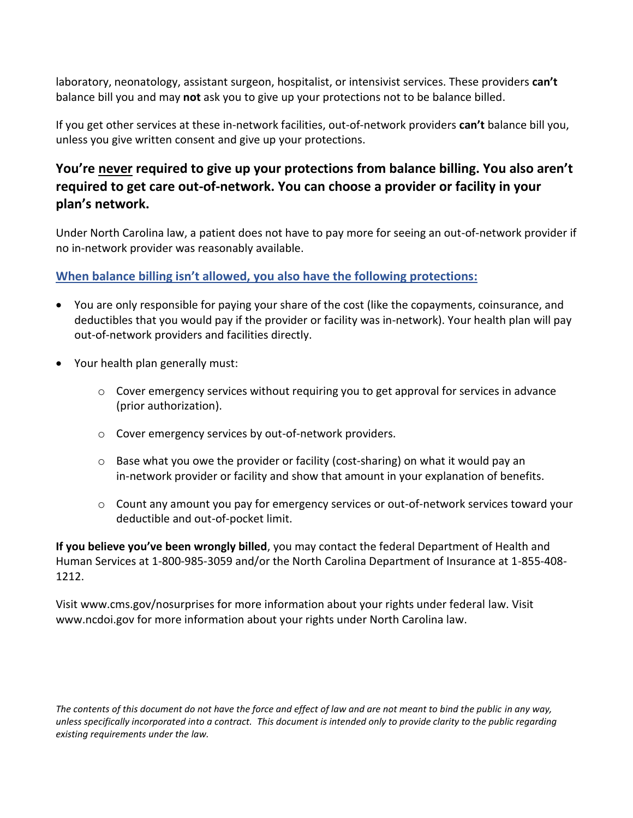laboratory, neonatology, assistant surgeon, hospitalist, or intensivist services. These providers **can't** balance bill you and may **not** ask you to give up your protections not to be balance billed.

If you get other services at these in-network facilities, out-of-network providers **can't** balance bill you, unless you give written consent and give up your protections.

# **You're never required to give up your protections from balance billing. You also aren't required to get care out-of-network. You can choose a provider or facility in your plan's network.**

Under North Carolina law, a patient does not have to pay more for seeing an out-of-network provider if no in-network provider was reasonably available.

## **When balance billing isn't allowed, you also have the following protections:**

- You are only responsible for paying your share of the cost (like the copayments, coinsurance, and deductibles that you would pay if the provider or facility was in-network). Your health plan will pay out-of-network providers and facilities directly.
- Your health plan generally must:
	- o Cover emergency services without requiring you to get approval for services in advance (prior authorization).
	- o Cover emergency services by out-of-network providers.
	- $\circ$  Base what you owe the provider or facility (cost-sharing) on what it would pay an in-network provider or facility and show that amount in your explanation of benefits.
	- o Count any amount you pay for emergency services or out-of-network services toward your deductible and out-of-pocket limit.

**If you believe you've been wrongly billed**, you may contact the federal Department of Health and Human Services at 1-800-985-3059 and/or the North Carolina Department of Insurance at 1-855-408- 1212.

Visit www.cms.gov/nosurprises for more information about your rights under federal law. Visit www.ncdoi.gov for more information about your rights under North Carolina law.

*The contents of this document do not have the force and effect of law and are not meant to bind the public in any way, unless specifically incorporated into a contract. This document is intended only to provide clarity to the public regarding existing requirements under the law.*